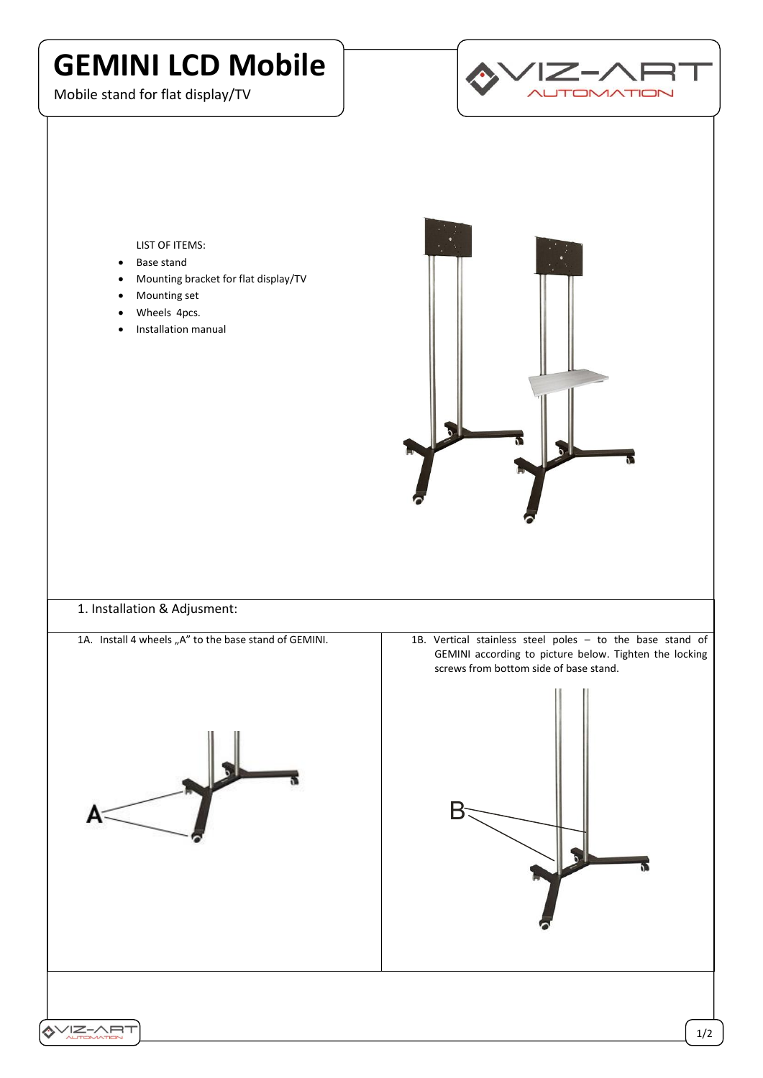## **GEMINI LCD Mobile**

Mobile stand for flat display/TV



## LIST OF ITEMS:

- Base stand
- Mounting bracket for flat display/TV
- Mounting set
- Wheels 4pcs.
- Installation manual